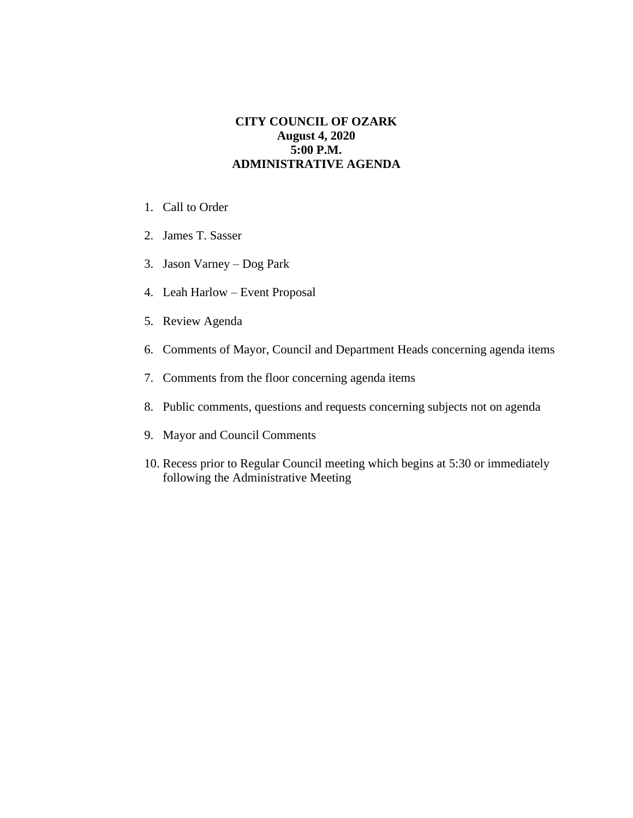## **CITY COUNCIL OF OZARK August 4, 2020 5:00 P.M. ADMINISTRATIVE AGENDA**

- 1. Call to Order
- 2. James T. Sasser
- 3. Jason Varney Dog Park
- 4. Leah Harlow Event Proposal
- 5. Review Agenda
- 6. Comments of Mayor, Council and Department Heads concerning agenda items
- 7. Comments from the floor concerning agenda items
- 8. Public comments, questions and requests concerning subjects not on agenda
- 9. Mayor and Council Comments
- 10. Recess prior to Regular Council meeting which begins at 5:30 or immediately following the Administrative Meeting